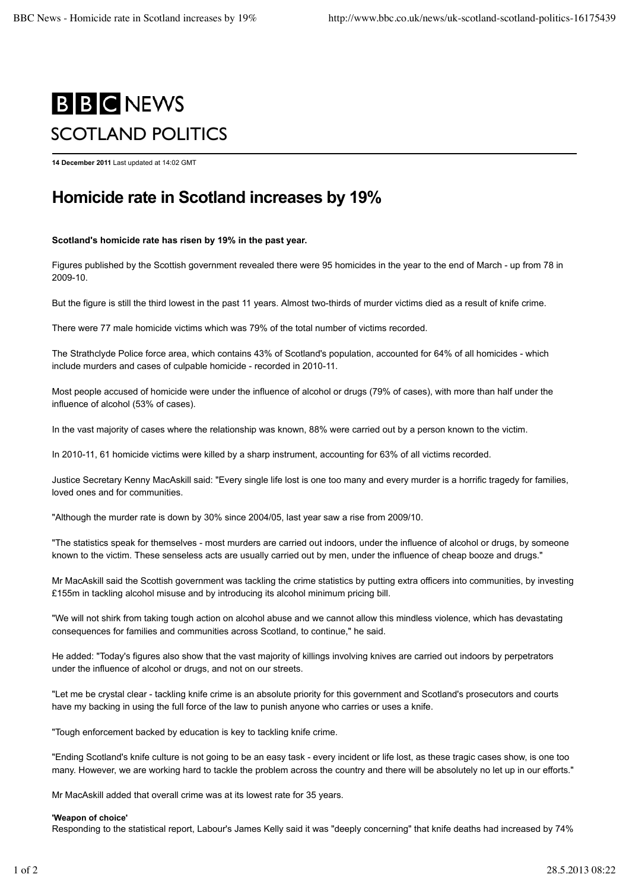# **B B C NEWS** SCOTLAND POLITICS

**14 December 2011** Last updated at 14:02 GMT

## **Homicide rate in Scotland increases by 19%**

#### **Scotland's homicide rate has risen by 19% in the past year.**

Figures published by the Scottish government revealed there were 95 homicides in the year to the end of March - up from 78 in 2009-10.

But the figure is still the third lowest in the past 11 years. Almost two-thirds of murder victims died as a result of knife crime.

There were 77 male homicide victims which was 79% of the total number of victims recorded.

The Strathclyde Police force area, which contains 43% of Scotland's population, accounted for 64% of all homicides - which include murders and cases of culpable homicide - recorded in 2010-11.

Most people accused of homicide were under the influence of alcohol or drugs (79% of cases), with more than half under the influence of alcohol (53% of cases).

In the vast majority of cases where the relationship was known, 88% were carried out by a person known to the victim.

In 2010-11, 61 homicide victims were killed by a sharp instrument, accounting for 63% of all victims recorded.

Justice Secretary Kenny MacAskill said: "Every single life lost is one too many and every murder is a horrific tragedy for families, loved ones and for communities.

"Although the murder rate is down by 30% since 2004/05, last year saw a rise from 2009/10.

"The statistics speak for themselves - most murders are carried out indoors, under the influence of alcohol or drugs, by someone known to the victim. These senseless acts are usually carried out by men, under the influence of cheap booze and drugs."

Mr MacAskill said the Scottish government was tackling the crime statistics by putting extra officers into communities, by investing £155m in tackling alcohol misuse and by introducing its alcohol minimum pricing bill.

"We will not shirk from taking tough action on alcohol abuse and we cannot allow this mindless violence, which has devastating consequences for families and communities across Scotland, to continue," he said.

He added: "Today's figures also show that the vast majority of killings involving knives are carried out indoors by perpetrators under the influence of alcohol or drugs, and not on our streets.

"Let me be crystal clear - tackling knife crime is an absolute priority for this government and Scotland's prosecutors and courts have my backing in using the full force of the law to punish anyone who carries or uses a knife.

"Tough enforcement backed by education is key to tackling knife crime.

"Ending Scotland's knife culture is not going to be an easy task - every incident or life lost, as these tragic cases show, is one too many. However, we are working hard to tackle the problem across the country and there will be absolutely no let up in our efforts."

Mr MacAskill added that overall crime was at its lowest rate for 35 years.

#### **'Weapon of choice'**

Responding to the statistical report, Labour's James Kelly said it was "deeply concerning" that knife deaths had increased by 74%